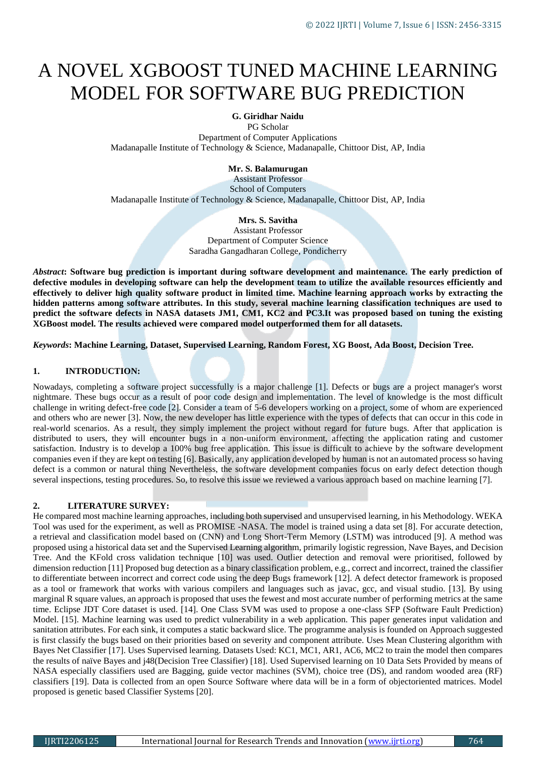# A NOVEL XGBOOST TUNED MACHINE LEARNING MODEL FOR SOFTWARE BUG PREDICTION

# **G. Giridhar Naidu**

PG Scholar Department of Computer Applications Madanapalle Institute of Technology & Science, Madanapalle, Chittoor Dist, AP, India

## **Mr. S. Balamurugan**

Assistant Professor School of Computers Madanapalle Institute of Technology & Science, Madanapalle, Chittoor Dist, AP, India

# **Mrs. S. Savitha**

Assistant Professor Department of Computer Science Saradha Gangadharan College, Pondicherry

*Abstract***: Software bug prediction is important during software development and maintenance. The early prediction of defective modules in developing software can help the development team to utilize the available resources efficiently and effectively to deliver high quality software product in limited time. Machine learning approach works by extracting the hidden patterns among software attributes. In this study, several machine learning classification techniques are used to predict the software defects in NASA datasets JM1, CM1, KC2 and PC3.It was proposed based on tuning the existing XGBoost model. The results achieved were compared model outperformed them for all datasets.**

*Keywords***: Machine Learning, Dataset, Supervised Learning, Random Forest, XG Boost, Ada Boost, Decision Tree.**

# **1. INTRODUCTION:**

Nowadays, completing a software project successfully is a major challenge [1]. Defects or bugs are a project manager's worst nightmare. These bugs occur as a result of poor code design and implementation. The level of knowledge is the most difficult challenge in writing defect-free code [2]. Consider a team of 5-6 developers working on a project, some of whom are experienced and others who are newer [3]. Now, the new developer has little experience with the types of defects that can occur in this code in real-world scenarios. As a result, they simply implement the project without regard for future bugs. After that application is distributed to users, they will encounter bugs in a non-uniform environment, affecting the application rating and customer satisfaction. Industry is to develop a 100% bug free application. This issue is difficult to achieve by the software development companies even if they are kept on testing [6]. Basically, any application developed by human is not an automated process so having defect is a common or natural thing Nevertheless, the software development companies focus on early defect detection though several inspections, testing procedures. So, to resolve this issue we reviewed a various approach based on machine learning [7].

## **2. LITERATURE SURVEY:**

He compared most machine learning approaches, including both supervised and unsupervised learning, in his Methodology. WEKA Tool was used for the experiment, as well as PROMISE -NASA. The model is trained using a data set [8]. For accurate detection, a retrieval and classification model based on (CNN) and Long Short-Term Memory (LSTM) was introduced [9]. A method was proposed using a historical data set and the Supervised Learning algorithm, primarily logistic regression, Nave Bayes, and Decision Tree. And the KFold cross validation technique [10] was used. Outlier detection and removal were prioritised, followed by dimension reduction [11] Proposed bug detection as a binary classification problem, e.g., correct and incorrect, trained the classifier to differentiate between incorrect and correct code using the deep Bugs framework [12]. A defect detector framework is proposed as a tool or framework that works with various compilers and languages such as javac, gcc, and visual studio. [13]. By using marginal R square values, an approach is proposed that uses the fewest and most accurate number of performing metrics at the same time. Eclipse JDT Core dataset is used. [14]. One Class SVM was used to propose a one-class SFP (Software Fault Prediction) Model. [15]. Machine learning was used to predict vulnerability in a web application. This paper generates input validation and sanitation attributes. For each sink, it computes a static backward slice. The programme analysis is founded on Approach suggested is first classify the bugs based on their priorities based on severity and component attribute. Uses Mean Clustering algorithm with Bayes Net Classifier [17]. Uses Supervised learning. Datasets Used: KC1, MC1, AR1, AC6, MC2 to train the model then compares the results of naïve Bayes and j48(Decision Tree Classifier) [18]. Used Supervised learning on 10 Data Sets Provided by means of NASA especially classifiers used are Bagging, guide vector machines (SVM), choice tree (DS), and random wooded area (RF) classifiers [19]. Data is collected from an open Source Software where data will be in a form of objectoriented matrices. Model proposed is genetic based Classifier Systems [20].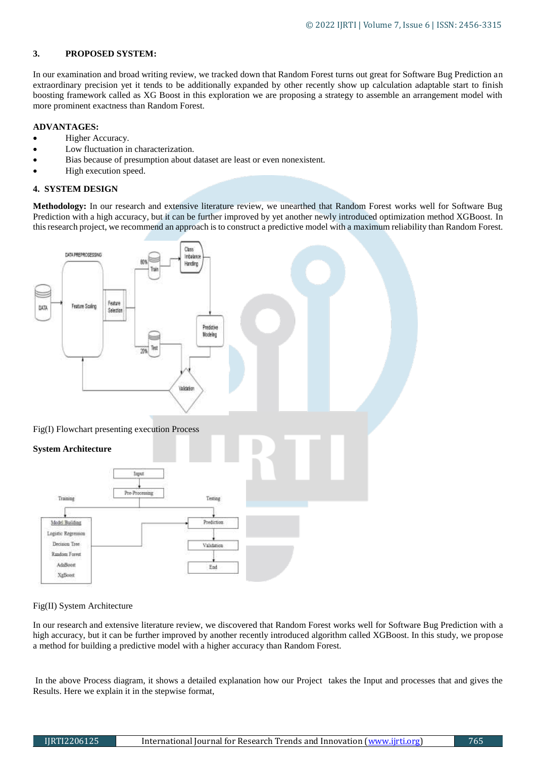# **3. PROPOSED SYSTEM:**

In our examination and broad writing review, we tracked down that Random Forest turns out great for Software Bug Prediction an extraordinary precision yet it tends to be additionally expanded by other recently show up calculation adaptable start to finish boosting framework called as XG Boost in this exploration we are proposing a strategy to assemble an arrangement model with more prominent exactness than Random Forest.

## **ADVANTAGES:**

- Higher Accuracy.
- Low fluctuation in characterization.
- Bias because of presumption about dataset are least or even nonexistent.
- High execution speed.

# **4. SYSTEM DESIGN**

**Methodology:** In our research and extensive literature review, we unearthed that Random Forest works well for Software Bug Prediction with a high accuracy, but it can be further improved by yet another newly introduced optimization method XGBoost. In this research project, we recommend an approach is to construct a predictive model with a maximum reliability than Random Forest.



## Fig(II) System Architecture

In our research and extensive literature review, we discovered that Random Forest works well for Software Bug Prediction with a high accuracy, but it can be further improved by another recently introduced algorithm called XGBoost. In this study, we propose a method for building a predictive model with a higher accuracy than Random Forest.

In the above Process diagram, it shows a detailed explanation how our Project takes the Input and processes that and gives the Results. Here we explain it in the stepwise format,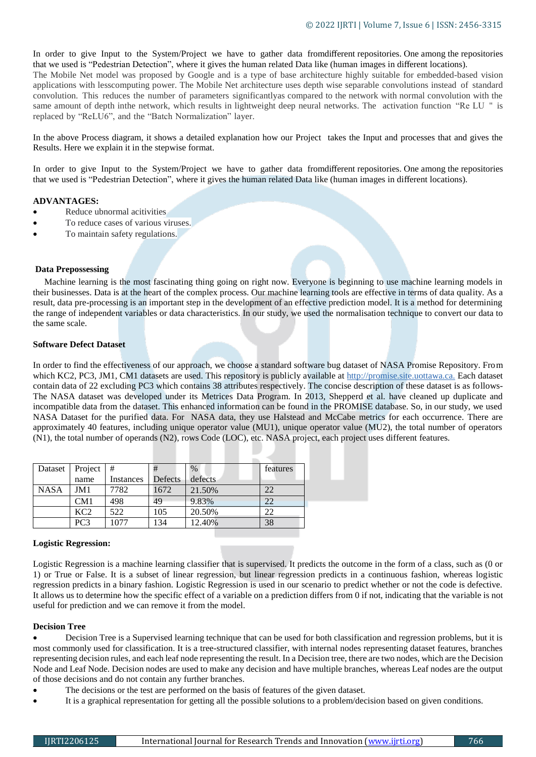In order to give Input to the System/Project we have to gather data fromdifferent repositories. One among the repositories that we used is "Pedestrian Detection", where it gives the human related Data like (human images in different locations). The Mobile Net model was proposed by Google and is a type of base architecture highly suitable for embedded-based vision applications with lesscomputing power. The Mobile Net architecture uses depth wise separable convolutions instead of standard convolution. This reduces the number of parameters significantlyas compared to the network with normal convolution with the same amount of depth inthe network, which results in lightweight deep neural networks. The activation function "Re LU '' is replaced by "ReLU6", and the "Batch Normalization" layer.

In the above Process diagram, it shows a detailed explanation how our Project takes the Input and processes that and gives the Results. Here we explain it in the stepwise format.

In order to give Input to the System/Project we have to gather data fromdifferent repositories. One among the repositories that we used is "Pedestrian Detection", where it gives the human related Data like (human images in different locations).

#### **ADVANTAGES:**

- Reduce ubnormal acitivities
- To reduce cases of various viruses.
- To maintain safety regulations.

#### **Data Prepossessing**

 Machine learning is the most fascinating thing going on right now. Everyone is beginning to use machine learning models in their businesses. Data is at the heart of the complex process. Our machine learning tools are effective in terms of data quality. As a result, data pre-processing is an important step in the development of an effective prediction model. It is a method for determining the range of independent variables or data characteristics. In our study, we used the normalisation technique to convert our data to the same scale.

## **Software Defect Dataset**

In order to find the effectiveness of our approach, we choose a standard software bug dataset of NASA Promise Repository. From which KC2, PC3, JM1, CM1 datasets are used. This repository is publicly available at http://promise.site.uottawa.ca. Each dataset contain data of 22 excluding PC3 which contains 38 attributes respectively. The concise description of these dataset is as follows-The NASA dataset was developed under its Metrices Data Program. In 2013, Shepperd et al. have cleaned up duplicate and incompatible data from the dataset. This enhanced information can be found in the PROMISE database. So, in our study, we used NASA Dataset for the purified data. For NASA data, they use Halstead and McCabe metrics for each occurrence. There are approximately 40 features, including unique operator value (MU1), unique operator value (MU2), the total number of operators (N1), the total number of operands (N2), rows Code (LOC), etc. NASA project, each project uses different features.

| Dataset     | Project $#$     |           | #       | $\frac{0}{0}$ | features |
|-------------|-----------------|-----------|---------|---------------|----------|
|             | name            | Instances | Defects | defects       |          |
| <b>NASA</b> | JM1             | 7782      | 1672    | 21.50%        | 22       |
|             | CM1             | 498       | 49      | 9.83%         | 22       |
|             | KC <sub>2</sub> | 522       | 105     | 20.50%        | 22       |
|             | PC3             | 1077      | 134     | 12.40%        | 38       |

#### **Logistic Regression:**

Logistic Regression is a machine learning classifier that is supervised. It predicts the outcome in the form of a class, such as (0 or 1) or True or False. It is a subset of linear regression, but linear regression predicts in a continuous fashion, whereas logistic regression predicts in a binary fashion. Logistic Regression is used in our scenario to predict whether or not the code is defective. It allows us to determine how the specific effect of a variable on a prediction differs from 0 if not, indicating that the variable is not useful for prediction and we can remove it from the model.

#### **Decision Tree**

 Decision Tree is a Supervised learning technique that can be used for both classification and regression problems, but it is most commonly used for classification. It is a tree-structured classifier, with internal nodes representing dataset features, branches representing decision rules, and each leaf node representing the result. In a Decision tree, there are two nodes, which are the Decision Node and Leaf Node. Decision nodes are used to make any decision and have multiple branches, whereas Leaf nodes are the output of those decisions and do not contain any further branches.

- The decisions or the test are performed on the basis of features of the given dataset.
- It is a graphical representation for getting all the possible solutions to a problem/decision based on given conditions.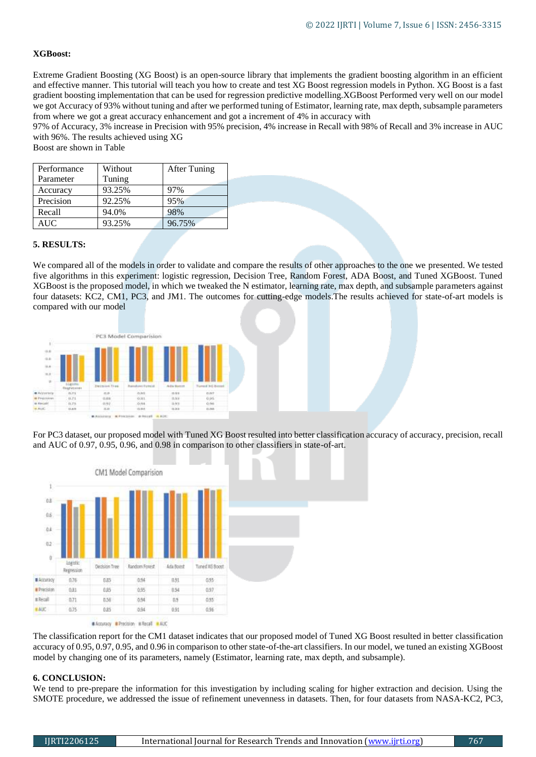# **XGBoost:**

Extreme Gradient Boosting (XG Boost) is an open-source library that implements the gradient boosting algorithm in an efficient and effective manner. This tutorial will teach you how to create and test XG Boost regression models in Python. XG Boost is a fast gradient boosting implementation that can be used for regression predictive modelling.XGBoost Performed very well on our model we got Accuracy of 93% without tuning and after we performed tuning of Estimator, learning rate, max depth, subsample parameters from where we got a great accuracy enhancement and got a increment of 4% in accuracy with

97% of Accuracy, 3% increase in Precision with 95% precision, 4% increase in Recall with 98% of Recall and 3% increase in AUC with 96%. The results achieved using XG

Boost are shown in Table

| Performance | Without | <b>After Tuning</b> |
|-------------|---------|---------------------|
| Parameter   | Tuning  |                     |
| Accuracy    | 93.25%  | 97%                 |
| Precision   | 92.25%  | 95%                 |
| Recall      | 94.0%   | 98%                 |
| AUC         | 93.25%  | 96.75%              |

## **5. RESULTS:**

We compared all of the models in order to validate and compare the results of other approaches to the one we presented. We tested five algorithms in this experiment: logistic regression, Decision Tree, Random Forest, ADA Boost, and Tuned XGBoost. Tuned XGBoost is the proposed model, in which we tweaked the N estimator, learning rate, max depth, and subsample parameters against four datasets: KC2, CM1, PC3, and JM1. The outcomes for cutting-edge models.The results achieved for state-of-art models is compared with our model



For PC3 dataset, our proposed model with Tuned XG Boost resulted into better classification accuracy of accuracy, precision, recall and AUC of 0.97, 0.95, 0.96, and 0.98 in comparison to other classifiers in state-of-art.



The classification report for the CM1 dataset indicates that our proposed model of Tuned XG Boost resulted in better classification accuracy of 0.95, 0.97, 0.95, and 0.96 in comparison to other state-of-the-art classifiers. In our model, we tuned an existing XGBoost model by changing one of its parameters, namely (Estimator, learning rate, max depth, and subsample).

## **6. CONCLUSION:**

We tend to pre-prepare the information for this investigation by including scaling for higher extraction and decision. Using the SMOTE procedure, we addressed the issue of refinement unevenness in datasets. Then, for four datasets from NASA-KC2, PC3,